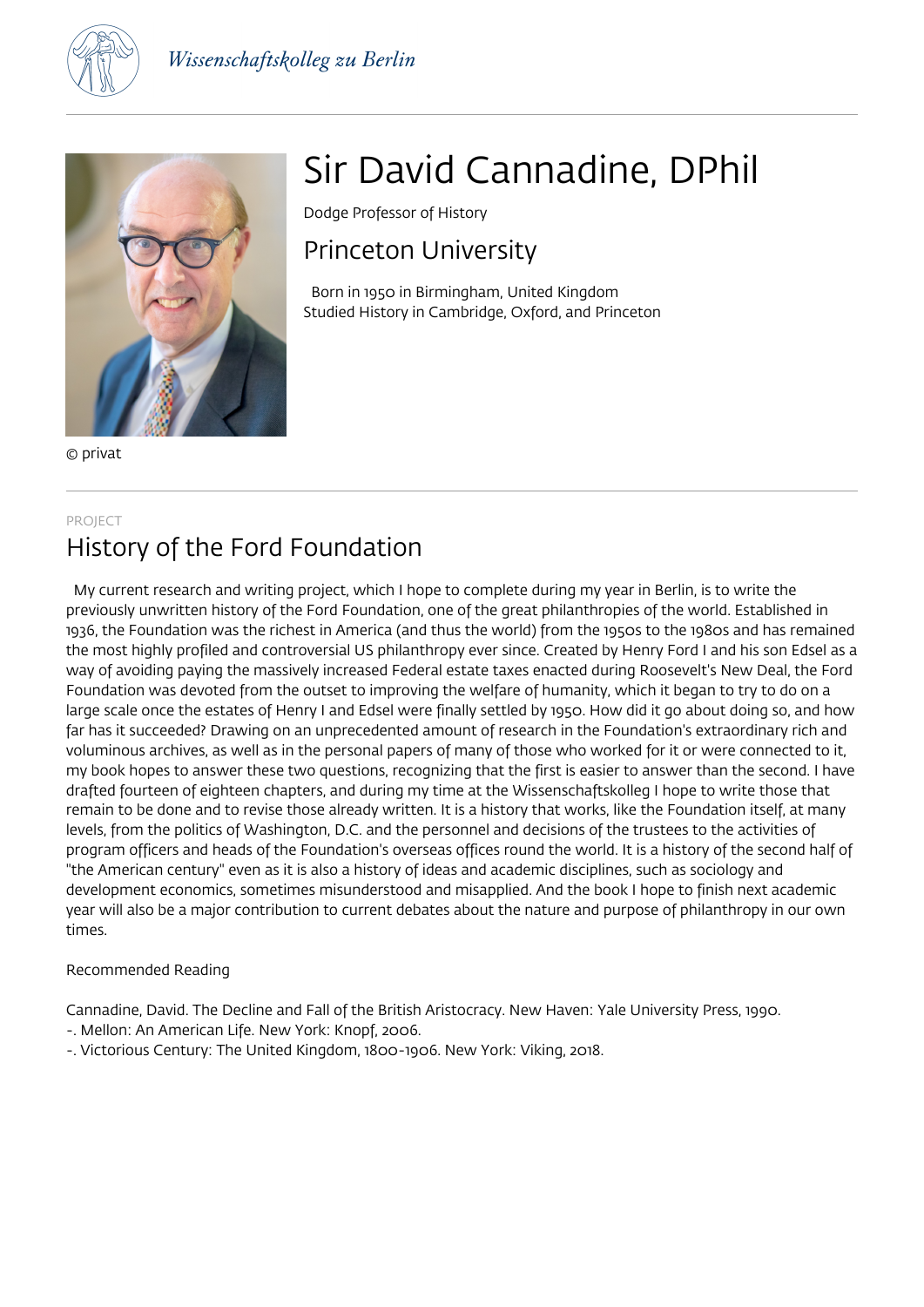



© privat

# Sir David Cannadine, DPhil

Dodge Professor of History

# Princeton University

 Born in 1950 in Birmingham, United Kingdom Studied History in Cambridge, Oxford, and Princeton

#### PROJECT

# History of the Ford Foundation

 My current research and writing project, which I hope to complete during my year in Berlin, is to write the previously unwritten history of the Ford Foundation, one of the great philanthropies of the world. Established in 1936, the Foundation was the richest in America (and thus the world) from the 1950s to the 1980s and has remained the most highly profiled and controversial US philanthropy ever since. Created by Henry Ford I and his son Edsel as a way of avoiding paying the massively increased Federal estate taxes enacted during Roosevelt's New Deal, the Ford Foundation was devoted from the outset to improving the welfare of humanity, which it began to try to do on a large scale once the estates of Henry I and Edsel were finally settled by 1950. How did it go about doing so, and how far has it succeeded? Drawing on an unprecedented amount of research in the Foundation's extraordinary rich and voluminous archives, as well as in the personal papers of many of those who worked for it or were connected to it, my book hopes to answer these two questions, recognizing that the first is easier to answer than the second. I have drafted fourteen of eighteen chapters, and during my time at the Wissenschaftskolleg I hope to write those that remain to be done and to revise those already written. It is a history that works, like the Foundation itself, at many levels, from the politics of Washington, D.C. and the personnel and decisions of the trustees to the activities of program officers and heads of the Foundation's overseas offices round the world. It is a history of the second half of "the American century" even as it is also a history of ideas and academic disciplines, such as sociology and development economics, sometimes misunderstood and misapplied. And the book I hope to finish next academic year will also be a major contribution to current debates about the nature and purpose of philanthropy in our own times.

### Recommended Reading

Cannadine, David. The Decline and Fall of the British Aristocracy. New Haven: Yale University Press, 1990. -. Mellon: An American Life. New York: Knopf, 2006.

-. Victorious Century: The United Kingdom, 1800-1906. New York: Viking, 2018.